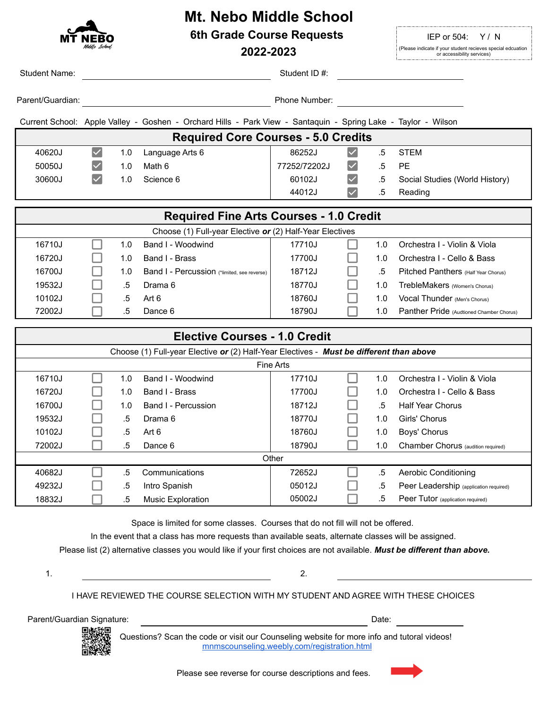# **Mt. Nebo Middle School**

**6th Grade Course Requests IEP or 504: Y/N** 

2022-2023 **(Please indicate if your student recieves special edcuation**<br>
or accessibility services)

| <b>Student Name:</b>                           |                                             |     |                                                                                                               | Student ID#:  |                      |        |                                          |  |  |  |  |  |
|------------------------------------------------|---------------------------------------------|-----|---------------------------------------------------------------------------------------------------------------|---------------|----------------------|--------|------------------------------------------|--|--|--|--|--|
| Parent/Guardian:                               |                                             |     |                                                                                                               | Phone Number: |                      |        |                                          |  |  |  |  |  |
|                                                |                                             |     | Current School: Apple Valley - Goshen - Orchard Hills - Park View - Santaquin - Spring Lake - Taylor - Wilson |               |                      |        |                                          |  |  |  |  |  |
| <b>Required Core Courses - 5.0 Credits</b>     |                                             |     |                                                                                                               |               |                      |        |                                          |  |  |  |  |  |
| 40620J                                         | $\vert\mathcal{\mathcal{\mathcal{L}}}\vert$ | 1.0 | Language Arts 6                                                                                               | 86252J        | $\blacktriangledown$ | $.5\,$ | <b>STEM</b>                              |  |  |  |  |  |
| 50050J                                         |                                             | 1.0 | Math 6                                                                                                        | 77252/72202J  |                      | .5     | <b>PE</b>                                |  |  |  |  |  |
| 30600J                                         | $\vert\boldsymbol\checkmark\vert$           | 1.0 | Science 6                                                                                                     | 60102J        |                      | $.5\,$ | Social Studies (World History)           |  |  |  |  |  |
|                                                |                                             |     |                                                                                                               | 44012J        | $\checkmark$         | .5     | Reading                                  |  |  |  |  |  |
|                                                |                                             |     |                                                                                                               |               |                      |        |                                          |  |  |  |  |  |
| <b>Required Fine Arts Courses - 1.0 Credit</b> |                                             |     |                                                                                                               |               |                      |        |                                          |  |  |  |  |  |
|                                                |                                             |     | Choose (1) Full-year Elective or (2) Half-Year Electives                                                      |               |                      |        |                                          |  |  |  |  |  |
| 16710J                                         |                                             | 1.0 | Band I - Woodwind                                                                                             | 17710J        |                      | 1.0    | Orchestra I - Violin & Viola             |  |  |  |  |  |
| 16720J                                         |                                             | 1.0 | Band I - Brass                                                                                                | 17700J        |                      | 1.0    | Orchestra I - Cello & Bass               |  |  |  |  |  |
| 16700J                                         |                                             | 1.0 | Band I - Percussion (*limited, see reverse)                                                                   | 18712J        |                      | $.5\,$ | Pitched Panthers (Half Year Chorus)      |  |  |  |  |  |
| 19532J                                         |                                             | .5  | Drama 6                                                                                                       | 18770J        |                      | 1.0    | TrebleMakers (Women's Chorus)            |  |  |  |  |  |
| 10102J                                         |                                             | .5  | Art 6                                                                                                         | 18760J        |                      | 1.0    | Vocal Thunder (Men's Chorus)             |  |  |  |  |  |
| 72002J                                         |                                             | .5  | Dance 6                                                                                                       | 18790J        |                      | 1.0    | Panther Pride (Audtioned Chamber Chorus) |  |  |  |  |  |
|                                                |                                             |     |                                                                                                               |               |                      |        |                                          |  |  |  |  |  |
|                                                |                                             |     | <b>Elective Courses - 1.0 Credit</b>                                                                          |               |                      |        |                                          |  |  |  |  |  |
|                                                |                                             |     | Choose (1) Full-year Elective or (2) Half-Year Electives - Must be different than above                       |               |                      |        |                                          |  |  |  |  |  |
|                                                |                                             |     |                                                                                                               | Fine Arts     |                      |        |                                          |  |  |  |  |  |
| 16710J                                         |                                             | 1.0 | Band I - Woodwind                                                                                             | 17710J        |                      | 1.0    | Orchestra I - Violin & Viola             |  |  |  |  |  |
| 16720J                                         |                                             | 1.0 | Band I - Brass                                                                                                | 17700J        |                      | 1.0    | Orchestra I - Cello & Bass               |  |  |  |  |  |
| 16700J                                         |                                             | 1.0 | Band I - Percussion                                                                                           | 18712J        |                      | $.5\,$ | <b>Half Year Chorus</b>                  |  |  |  |  |  |
| 19532J                                         |                                             | .5  | Drama 6                                                                                                       | 18770J        |                      | 1.0    | Girls' Chorus                            |  |  |  |  |  |
| 10102J                                         |                                             | .5  | Art 6                                                                                                         | 18760J        |                      | 1.0    | Boys' Chorus                             |  |  |  |  |  |

| 10102J |  |    | Art 6                    | 18760J |  | 1.0 | Boys' Chorus                           |  |  |
|--------|--|----|--------------------------|--------|--|-----|----------------------------------------|--|--|
| 72002J |  | h  | Dance 6                  | 18790J |  | 1.0 | Chamber Chorus (audition required)     |  |  |
| Other  |  |    |                          |        |  |     |                                        |  |  |
| 40682J |  |    | Communications           | 72652J |  | .ხ  | Aerobic Conditioning                   |  |  |
| 49232J |  | 5  | Intro Spanish            | 05012J |  | .5  | Peer Leadership (application required) |  |  |
| 18832J |  | .5 | <b>Music Exploration</b> | 05002J |  | .ხ  | Peer Tutor (application required)      |  |  |

Space is limited for some classes. Courses that do not fill will not be offered.

In the event that a class has more requests than available seats, alternate classes will be assigned.

Please list (2) alternative classes you would like if your first choices are not available. *Must be different than above.*

1.  $\qquad \qquad \qquad 2.$ 

I HAVE REVIEWED THE COURSE SELECTION WITH MY STUDENT AND AGREE WITH THESE CHOICES

Parent/Guardian Signature: Date:

Questions? Scan the code or visit our Counseling website for more info and tutoral videos! mnmscounseling.weebly.com/registration.html